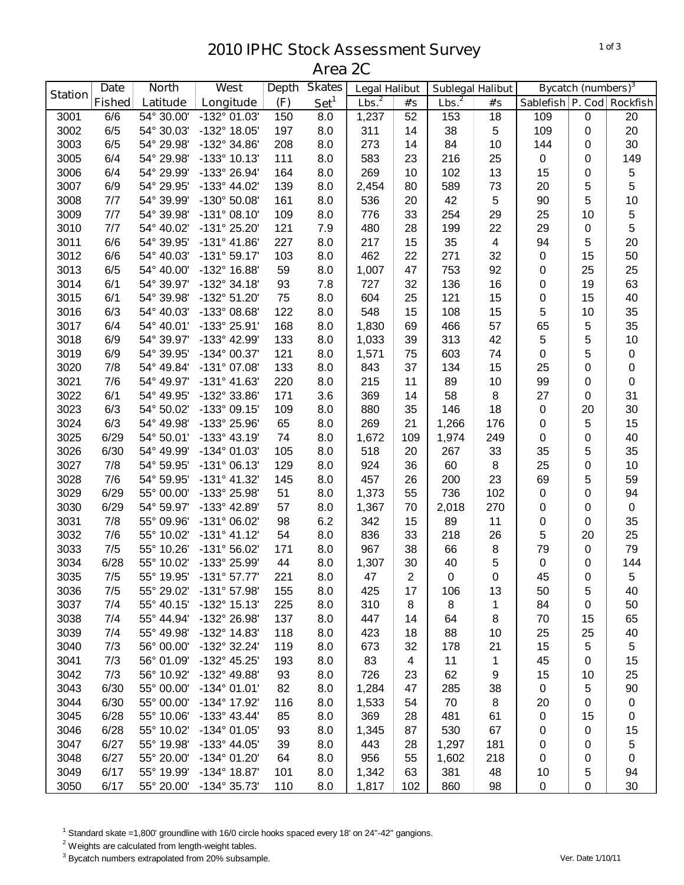## **IPHC Stock Assessment Survey Area 2C**

|                | <b>Date</b>   | <b>Skates</b><br>West<br><b>North</b><br><b>Depth</b><br><b>Legal Halibut</b> |                         | <b>Sublegal Halibut</b> |                  | <b>Bycatch (numbers)</b> <sup>3</sup> |                  |                   |                         |                           |                  |             |
|----------------|---------------|-------------------------------------------------------------------------------|-------------------------|-------------------------|------------------|---------------------------------------|------------------|-------------------|-------------------------|---------------------------|------------------|-------------|
| <b>Station</b> | <b>Fished</b> | Latitude                                                                      | Longitude               | (F)                     | Set <sup>1</sup> | Lbs. <sup>2</sup>                     | #'s              | Lbs. <sup>2</sup> | #'s                     | Sablefish P. Cod Rockfish |                  |             |
| 3001           | 6/6           | 54° 30.00'                                                                    | -132° 01.03'            | 150                     | 8.0              | 1,237                                 | 52               | 153               | 18                      | 109                       | $\pmb{0}$        | 20          |
| 3002           | 6/5           | 54° 30.03'                                                                    | -132° 18.05'            | 197                     | 8.0              | 311                                   | 14               | 38                | $\sqrt{5}$              | 109                       | $\boldsymbol{0}$ | 20          |
| 3003           | 6/5           | 54° 29.98'                                                                    | -132° 34.86'            | 208                     | 8.0              | 273                                   | 14               | 84                | 10                      | 144                       | 0                | 30          |
| 3005           | 6/4           | 54° 29.98'                                                                    | $-133^{\circ}$ 10.13'   | 111                     | 8.0              | 583                                   | 23               | 216               | 25                      | $\mathbf 0$               | 0                | 149         |
| 3006           | 6/4           | 54° 29.99'                                                                    | -133° 26.94'            | 164                     | 8.0              | 269                                   | 10               | 102               | 13                      | 15                        | 0                | 5           |
| 3007           | 6/9           | 54° 29.95'                                                                    | -133° 44.02'            | 139                     | 8.0              | 2,454                                 | 80               | 589               | 73                      | 20                        | 5                | 5           |
| 3008           | 7/7           | 54° 39.99'                                                                    | -130° 50.08'            | 161                     | 8.0              | 536                                   | 20               | 42                | 5                       | 90                        | 5                | 10          |
| 3009           | 7/7           | 54° 39.98'                                                                    | $-131°08.10'$           | 109                     | 8.0              | 776                                   | 33               | 254               | 29                      | 25                        | 10               | $\,$ 5 $\,$ |
| 3010           | 7/7           | 54° 40.02'                                                                    | -131° 25.20'            | 121                     | 7.9              | 480                                   | 28               | 199               | 22                      | 29                        | $\boldsymbol{0}$ | 5           |
| 3011           | 6/6           | 54° 39.95'                                                                    | $-131^{\circ}$ 41.86'   | 227                     | 8.0              | 217                                   | 15               | 35                | $\overline{\mathbf{4}}$ | 94                        | 5                | 20          |
| 3012           | 6/6           | 54° 40.03'                                                                    | $-131°59.17'$           | 103                     | 8.0              | 462                                   | 22               | 271               | 32                      | $\pmb{0}$                 | 15               | 50          |
| 3013           | 6/5           | 54° 40.00'                                                                    | -132° 16.88'            | 59                      | 8.0              | 1,007                                 | 47               | 753               | 92                      | 0                         | 25               | 25          |
| 3014           | 6/1           | 54° 39.97'                                                                    | $-132^{\circ}$ 34.18'   | 93                      | 7.8              | 727                                   | 32               | 136               | 16                      | 0                         | 19               | 63          |
| 3015           | 6/1           | 54° 39.98'                                                                    | -132° 51.20'            | 75                      | 8.0              | 604                                   | 25               | 121               | 15                      | $\pmb{0}$                 | 15               | 40          |
| 3016           | 6/3           | 54° 40.03'                                                                    | -133° 08.68'            | 122                     | 8.0              | 548                                   | 15               | 108               | 15                      | 5                         | 10               | 35          |
| 3017           | 6/4           | 54° 40.01'                                                                    | -133° 25.91'            | 168                     | 8.0              | 1,830                                 | 69               | 466               | 57                      | 65                        | 5                | 35          |
| 3018           | 6/9           | 54° 39.97'                                                                    | -133° 42.99'            | 133                     | 8.0              | 1,033                                 | 39               | 313               | 42                      | 5                         | 5                | 10          |
| 3019           | 6/9           | 54° 39.95'                                                                    | -134° 00.37'            | 121                     | 8.0              | 1,571                                 | 75               | 603               | 74                      | $\mathbf 0$               | 5                | $\pmb{0}$   |
| 3020           | 7/8           | 54° 49.84'                                                                    | -131° 07.08'            | 133                     | 8.0              | 843                                   | 37               | 134               | 15                      | 25                        | 0                | 0           |
| 3021           | 7/6           | 54° 49.97'                                                                    | $-131°$ 41.63'          | 220                     | 8.0              | 215                                   | 11               | 89                | 10                      | 99                        | 0                | $\pmb{0}$   |
| 3022           | 6/1           | 54° 49.95'                                                                    | -132° 33.86'            | 171                     | 3.6              | 369                                   | 14               | 58                | 8                       | 27                        | 0                | 31          |
| 3023           | 6/3           | 54° 50.02'                                                                    | -133° 09.15'            | 109                     | 8.0              | 880                                   | 35               | 146               | 18                      | $\pmb{0}$                 | 20               | 30          |
| 3024           | 6/3           | 54° 49.98'                                                                    | -133° 25.96'            | 65                      | 8.0              | 269                                   | 21               | 1,266             | 176                     | 0                         | 5                | 15          |
| 3025           | 6/29          | 54° 50.01'                                                                    | $-133^{\circ}$ 43.19'   | 74                      | 8.0              | 1,672                                 | 109              | 1,974             | 249                     | $\pmb{0}$                 | 0                | 40          |
| 3026           | 6/30          | 54° 49.99'                                                                    | -134° 01.03'            | 105                     | 8.0              | 518                                   | 20               | 267               | 33                      | 35                        | 5                | 35          |
| 3027           | 7/8           | 54° 59.95'                                                                    | $-131°06.13'$           | 129                     | 8.0              | 924                                   | 36               | 60                | 8                       | 25                        | 0                | 10          |
| 3028           | 7/6           | 54° 59.95'                                                                    | $-131°$ 41.32'          | 145                     | 8.0              | 457                                   | 26               | 200               | 23                      | 69                        | 5                | 59          |
| 3029           | 6/29          | 55° 00.00'                                                                    | -133° 25.98'            | 51                      | 8.0              | 1,373                                 | 55               | 736               | 102                     | $\pmb{0}$                 | $\mathbf 0$      | 94          |
| 3030           | 6/29          | 54° 59.97'                                                                    | -133° 42.89'            | 57                      | 8.0              | 1,367                                 | 70               | 2,018             | 270                     | $\pmb{0}$                 | $\mathbf 0$      | $\mathsf 0$ |
| 3031           | 7/8           | 55° 09.96'                                                                    | -131° 06.02'            | 98                      | 6.2              | 342                                   | 15               | 89                | 11                      | $\pmb{0}$                 | 0                | 35          |
| 3032           | 7/6           | 55° 10.02'                                                                    | $-131° 41.12'$          | 54                      | 8.0              | 836                                   | 33               | 218               | 26                      | 5                         | 20               | 25          |
| 3033           | 7/5           | 55° 10.26'                                                                    | $-131^{\circ}56.02'$    | 171                     | 8.0              | 967                                   | 38               | 66                | 8                       | 79                        | $\mathbf 0$      | 79          |
| 3034           | 6/28          | 55° 10.02'                                                                    | -133° 25.99'            | 44                      | 8.0              | 1,307                                 | 30               | 40                | 5                       | $\mathbf 0$               | $\mathbf 0$      | 144         |
| 3035           | 7/5           |                                                                               | 55° 19.95' -131° 57.77' | 221                     | 8.0              | 47                                    | $\boldsymbol{2}$ | $\Omega$          | $\mathbf 0$             | 45                        | $\Omega$         | 5           |
| 3036           | 7/5           | 55° 29.02'                                                                    | -131° 57.98'            | 155                     | 8.0              | 425                                   | 17               | 106               | 13                      | 50                        | 5                | 40          |
| 3037           | 7/4           | 55° 40.15'                                                                    | $-132^{\circ}$ 15.13'   | 225                     | 8.0              | 310                                   | 8                | 8                 | 1                       | 84                        | 0                | 50          |
| 3038           | 7/4           | 55° 44.94'                                                                    | -132° 26.98'            | 137                     | 8.0              | 447                                   | 14               | 64                | 8                       | 70                        | 15               | 65          |
| 3039           | 7/4           | 55° 49.98'                                                                    | -132° 14.83'            | 118                     | 8.0              | 423                                   | 18               | 88                | 10                      | 25                        | 25               | 40          |
| 3040           | 7/3           | 56° 00.00'                                                                    | -132° 32.24'            | 119                     | 8.0              | 673                                   | 32               | 178               | 21                      | 15                        | 5                | $\sqrt{5}$  |
| 3041           | 7/3           | 56° 01.09'                                                                    | -132° 45.25'            | 193                     | 8.0              | 83                                    | $\overline{4}$   | 11                | 1                       | 45                        | $\mathbf 0$      | 15          |
| 3042           | 7/3           | 56° 10.92'                                                                    | -132° 49.88'            | 93                      | 8.0              | 726                                   | 23               | 62                | 9                       | 15                        | 10               | 25          |
| 3043           | 6/30          | 55° 00.00'                                                                    | $-134^{\circ}$ 01.01'   | 82                      | 8.0              | 1,284                                 | 47               | 285               | 38                      | $\mathbf 0$               | 5                | 90          |
| 3044           | 6/30          | 55° 00.00'                                                                    | -134° 17.92'            | 116                     | 8.0              | 1,533                                 | 54               | 70                | 8                       | 20                        | 0                | $\pmb{0}$   |
| 3045           | 6/28          | 55° 10.06'                                                                    | $-133^{\circ}$ 43.44'   | 85                      | 8.0              | 369                                   | 28               | 481               | 61                      | $\pmb{0}$                 | 15               | 0           |
| 3046           | 6/28          | 55° 10.02'                                                                    | -134° 01.05'            | 93                      | 8.0              | 1,345                                 | 87               | 530               | 67                      | 0                         | 0                | 15          |
| 3047           | 6/27          | 55° 19.98'                                                                    | -133° 44.05'            | 39                      | 8.0              | 443                                   | 28               | 1,297             | 181                     | 0                         | 0                | 5           |
| 3048           | 6/27          | 55° 20.00'                                                                    | -134° 01.20'            | 64                      | 8.0              | 956                                   | 55               | 1,602             | 218                     | 0                         | 0                | 0           |
| 3049           | 6/17          | 55° 19.99'                                                                    | -134° 18.87'            | 101                     | 8.0              | 1,342                                 | 63               | 381               | 48                      | 10                        | 5                | 94          |
| 3050           | 6/17          | 55° 20.00'                                                                    | -134° 35.73'            | 110                     | 8.0              | 1,817                                 | 102              | 860               | 98                      | $\mathbf 0$               | $\pmb{0}$        | 30          |

Standard skate =1,800' groundline with 16/0 circle hooks spaced every 18' on 24"-42" gangions.

<sup>2</sup> Weights are calculated from length-weight tables.

Bycatch numbers extrapolated from 20% subsample. *Ver. Date 1/10/11*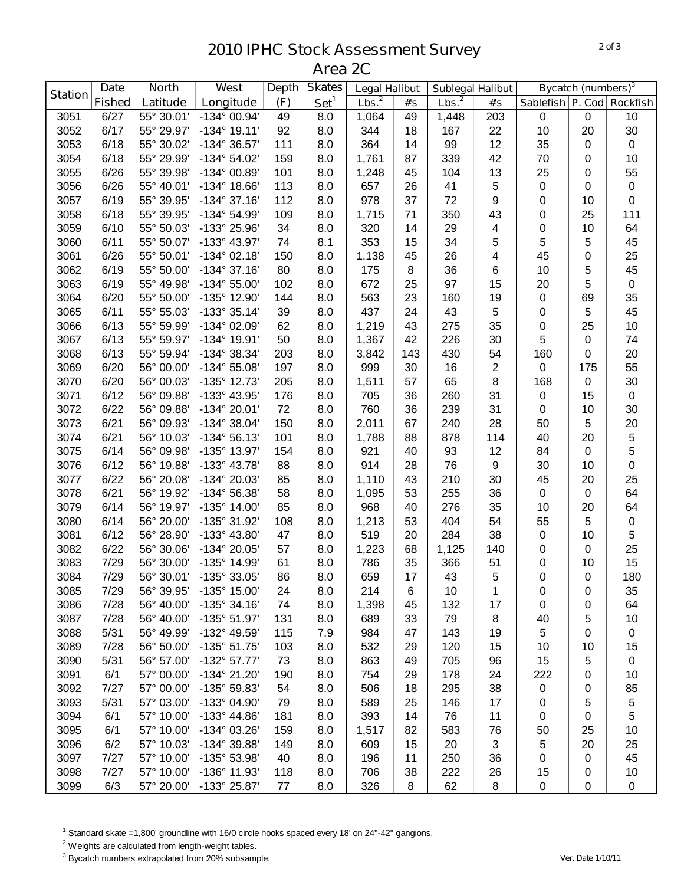## **IPHC Stock Assessment Survey Area 2C**

|                | <b>Date</b>   | <b>North</b> | <b>West</b>             | <b>Depth</b> | <b>Skates</b>    | <b>Legal Halibut</b> |     | <b>Sublegal Halibut</b> |                | <b>Bycatch (numbers)</b> <sup>3</sup> |           |                  |
|----------------|---------------|--------------|-------------------------|--------------|------------------|----------------------|-----|-------------------------|----------------|---------------------------------------|-----------|------------------|
| <b>Station</b> | <b>Fished</b> | Latitude     | Longitude               | (F)          | Set <sup>1</sup> | Lbs. <sup>2</sup>    | #'s | Lbs. <sup>2</sup>       | #'s            | Sablefish P. Cod Rockfish             |           |                  |
| 3051           | 6/27          | 55° 30.01'   | $-134^{\circ}$ 00.94'   | 49           | 8.0              | 1,064                | 49  | 1,448                   | 203            | $\mathbf 0$                           | $\pmb{0}$ | 10               |
| 3052           | 6/17          | 55° 29.97'   | $-134^{\circ}$ 19.11'   | 92           | 8.0              | 344                  | 18  | 167                     | 22             | 10                                    | 20        | 30               |
| 3053           | 6/18          | 55° 30.02'   | -134° 36.57'            | 111          | 8.0              | 364                  | 14  | 99                      | 12             | 35                                    | 0         | $\pmb{0}$        |
| 3054           | 6/18          | 55° 29.99'   | -134° 54.02'            | 159          | 8.0              | 1,761                | 87  | 339                     | 42             | 70                                    | 0         | 10               |
| 3055           | 6/26          | 55° 39.98'   | -134° 00.89'            | 101          | 8.0              | 1,248                | 45  | 104                     | 13             | 25                                    | 0         | 55               |
| 3056           | 6/26          | 55° 40.01'   | $-134^{\circ}$ 18.66'   | 113          | 8.0              | 657                  | 26  | 41                      | 5              | $\pmb{0}$                             | 0         | $\pmb{0}$        |
| 3057           | 6/19          | 55° 39.95'   | $-134^{\circ}$ 37.16'   | 112          | 8.0              | 978                  | 37  | 72                      | 9              | 0                                     | 10        | $\boldsymbol{0}$ |
| 3058           | 6/18          | 55° 39.95'   | -134° 54.99'            | 109          | 8.0              | 1,715                | 71  | 350                     | 43             | 0                                     | 25        | 111              |
| 3059           | 6/10          | 55° 50.03'   | -133° 25.96'            | 34           | 8.0              | 320                  | 14  | 29                      | 4              | 0                                     | 10        | 64               |
| 3060           | 6/11          | 55° 50.07'   | -133° 43.97'            | 74           | 8.1              | 353                  | 15  | 34                      | 5              | 5                                     | 5         | 45               |
| 3061           | 6/26          | 55° 50.01'   | $-134^{\circ}$ 02.18'   | 150          | 8.0              | 1,138                | 45  | 26                      | 4              | 45                                    | 0         | 25               |
| 3062           | 6/19          | 55° 50.00'   | $-134^{\circ}37.16'$    | 80           | 8.0              | 175                  | 8   | 36                      | 6              | 10                                    | 5         | 45               |
| 3063           | 6/19          | 55° 49.98'   | $-134^{\circ} 55.00'$   | 102          | 8.0              | 672                  | 25  | 97                      | 15             | 20                                    | 5         | $\pmb{0}$        |
| 3064           | 6/20          | 55° 50.00'   | -135° 12.90'            | 144          | 8.0              | 563                  | 23  | 160                     | 19             | $\pmb{0}$                             | 69        | 35               |
| 3065           | 6/11          | 55° 55.03'   | $-133^{\circ}35.14'$    | 39           | 8.0              | 437                  | 24  | 43                      | 5              | 0                                     | 5         | 45               |
| 3066           | 6/13          | 55° 59.99'   | -134° 02.09'            | 62           | 8.0              | 1,219                | 43  | 275                     | 35             | 0                                     | 25        | 10               |
| 3067           | 6/13          | 55° 59.97'   | $-134^{\circ}$ 19.91'   | 50           | 8.0              | 1,367                | 42  | 226                     | 30             | 5                                     | 0         | 74               |
| 3068           | 6/13          | 55° 59.94'   | -134° 38.34'            | 203          | 8.0              | 3,842                | 143 | 430                     | 54             | 160                                   | 0         | 20               |
| 3069           | 6/20          | 56° 00.00'   | $-134^{\circ} 55.08'$   | 197          | 8.0              | 999                  | 30  | 16                      | $\overline{c}$ | 0                                     | 175       | 55               |
| 3070           | 6/20          | 56° 00.03'   | -135° 12.73'            | 205          | 8.0              | 1,511                | 57  | 65                      | 8              | 168                                   | 0         | 30               |
| 3071           | 6/12          | 56° 09.88'   | -133° 43.95'            | 176          | 8.0              | 705                  | 36  | 260                     | 31             | 0                                     | 15        | $\pmb{0}$        |
| 3072           | 6/22          | 56° 09.88'   | -134° 20.01'            | 72           | 8.0              | 760                  | 36  | 239                     | 31             | 0                                     | 10        | 30               |
| 3073           | 6/21          | 56° 09.93'   | $-134^{\circ} 38.04'$   | 150          | 8.0              | 2,011                | 67  | 240                     | 28             | 50                                    | 5         | 20               |
| 3074           | 6/21          | 56° 10.03'   | $-134^{\circ} 56.13'$   | 101          | 8.0              | 1,788                | 88  | 878                     | 114            | 40                                    | 20        | 5                |
| 3075           | 6/14          | 56° 09.98'   | -135° 13.97'            | 154          | 8.0              | 921                  | 40  | 93                      | 12             | 84                                    | 0         | 5                |
| 3076           | 6/12          | 56° 19.88'   | -133° 43.78'            | 88           | 8.0              | 914                  | 28  | 76                      | 9              | 30                                    | 10        | $\pmb{0}$        |
| 3077           | 6/22          | 56° 20.08'   | -134° 20.03'            | 85           | 8.0              | 1,110                | 43  | 210                     | 30             | 45                                    | 20        | 25               |
| 3078           | 6/21          | 56° 19.92'   | -134° 56.38'            | 58           | 8.0              | 1,095                | 53  | 255                     | 36             | $\pmb{0}$                             | 0         | 64               |
| 3079           | 6/14          | 56° 19.97'   | -135° 14.00'            | 85           | 8.0              | 968                  | 40  | 276                     | 35             | 10                                    | 20        | 64               |
| 3080           | 6/14          | 56° 20.00'   | -135° 31.92'            | 108          | 8.0              | 1,213                | 53  | 404                     | 54             | 55                                    | 5         | $\boldsymbol{0}$ |
| 3081           | 6/12          | 56° 28.90'   | -133° 43.80'            | 47           | 8.0              | 519                  | 20  | 284                     | 38             | $\pmb{0}$                             | 10        | $\mathbf 5$      |
| 3082           | 6/22          | 56° 30.06'   | -134° 20.05'            | 57           | 8.0              | 1,223                | 68  | 1,125                   | 140            | 0                                     | 0         | 25               |
| 3083           | 7/29          | 56° 30.00'   | -135° 14.99'            | 61           | 8.0              | 786                  | 35  | 366                     | 51             | $\pmb{0}$                             | 10        | 15               |
| 3084           | 7/29          |              | 56° 30.01' -135° 33.05' | 86           | 8.0              | 659                  | 17  | 43                      | 5              | 0                                     | 0         | 180              |
| 3085           | 7/29          | 56° 39.95'   | -135° 15.00'            | 24           | 8.0              | 214                  | 6   | 10                      | 1              | 0                                     | 0         | 35               |
| 3086           | 7/28          | 56° 40.00'   | $-135^{\circ}$ 34.16'   | 74           | 8.0              | 1,398                | 45  | 132                     | 17             | 0                                     | 0         | 64               |
| 3087           | 7/28          | 56° 40.00'   | -135° 51.97'            | 131          | 8.0              | 689                  | 33  | 79                      | 8              | 40                                    | 5         | 10               |
| 3088           | 5/31          | 56° 49.99'   | -132° 49.59'            | 115          | 7.9              | 984                  | 47  | 143                     | 19             | $\sqrt{5}$                            | 0         | $\pmb{0}$        |
| 3089           | 7/28          | 56° 50.00'   | -135° 51.75'            | 103          | 8.0              | 532                  | 29  | 120                     | 15             | 10                                    | 10        | 15               |
| 3090           | 5/31          | 56° 57.00'   | -132° 57.77'            | 73           | 8.0              | 863                  | 49  | 705                     | 96             | 15                                    | 5         | 0                |
| 3091           | 6/1           | 57° 00.00'   | -134° 21.20'            | 190          | 8.0              | 754                  | 29  | 178                     | 24             | 222                                   | 0         | 10               |
| 3092           | 7/27          | 57° 00.00'   | -135° 59.83'            | 54           | 8.0              | 506                  | 18  | 295                     | 38             | 0                                     | 0         | 85               |
| 3093           | 5/31          | 57° 03.00'   | -133° 04.90'            | 79           | 8.0              | 589                  | 25  | 146                     | 17             | 0                                     | 5         | $\mathbf 5$      |
| 3094           | 6/1           | 57° 10.00'   | -133° 44.86'            | 181          | 8.0              | 393                  | 14  | 76                      | 11             | 0                                     | 0         | 5                |
| 3095           | 6/1           | 57° 10.00'   | -134° 03.26'            | 159          | 8.0              | 1,517                | 82  | 583                     | 76             | 50                                    | 25        | 10               |
| 3096           | 6/2           | 57° 10.03'   | -134° 39.88'            | 149          | 8.0              | 609                  | 15  | 20                      | 3              | 5                                     | 20        | 25               |
| 3097           | 7/27          | 57° 10.00'   | -135° 53.98'            | 40           | 8.0              | 196                  | 11  | 250                     | 36             | 0                                     | 0         | 45               |
| 3098           | 7/27          | 57° 10.00'   | -136° 11.93'            | 118          | 8.0              | 706                  | 38  | 222                     | 26             | 15                                    | 0         | 10               |
| 3099           | 6/3           | 57° 20.00'   | -133° 25.87'            | 77           | 8.0              | 326                  | 8   | 62                      | 8              | 0                                     | 0         | 0                |

Standard skate =1,800' groundline with 16/0 circle hooks spaced every 18' on 24"-42" gangions.

Weights are calculated from length-weight tables.

Bycatch numbers extrapolated from 20% subsample. *Ver. Date 1/10/11*